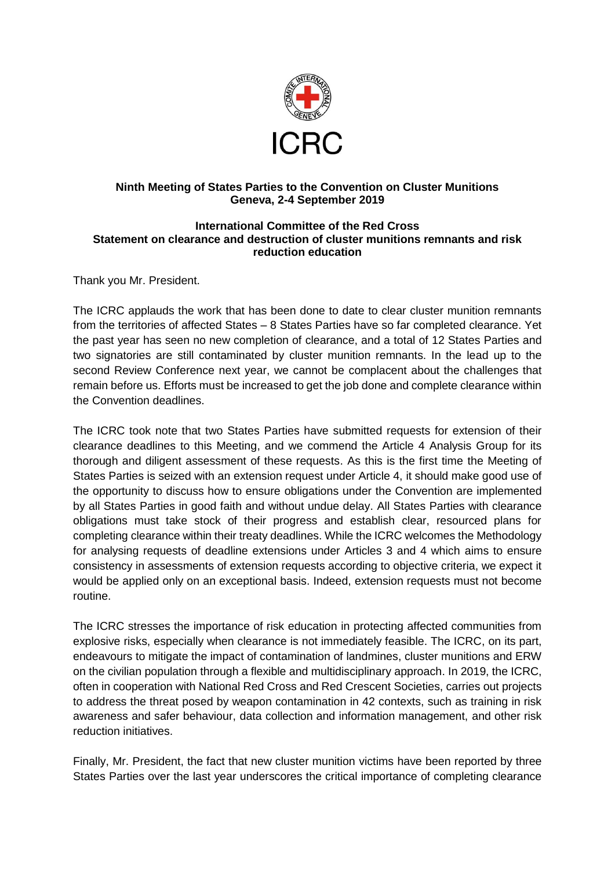

## **Ninth Meeting of States Parties to the Convention on Cluster Munitions Geneva, 2-4 September 2019**

## **International Committee of the Red Cross Statement on clearance and destruction of cluster munitions remnants and risk reduction education**

Thank you Mr. President.

The ICRC applauds the work that has been done to date to clear cluster munition remnants from the territories of affected States – 8 States Parties have so far completed clearance. Yet the past year has seen no new completion of clearance, and a total of 12 States Parties and two signatories are still contaminated by cluster munition remnants. In the lead up to the second Review Conference next year, we cannot be complacent about the challenges that remain before us. Efforts must be increased to get the job done and complete clearance within the Convention deadlines.

The ICRC took note that two States Parties have submitted requests for extension of their clearance deadlines to this Meeting, and we commend the Article 4 Analysis Group for its thorough and diligent assessment of these requests. As this is the first time the Meeting of States Parties is seized with an extension request under Article 4, it should make good use of the opportunity to discuss how to ensure obligations under the Convention are implemented by all States Parties in good faith and without undue delay. All States Parties with clearance obligations must take stock of their progress and establish clear, resourced plans for completing clearance within their treaty deadlines. While the ICRC welcomes the Methodology for analysing requests of deadline extensions under Articles 3 and 4 which aims to ensure consistency in assessments of extension requests according to objective criteria, we expect it would be applied only on an exceptional basis. Indeed, extension requests must not become routine.

The ICRC stresses the importance of risk education in protecting affected communities from explosive risks, especially when clearance is not immediately feasible. The ICRC, on its part, endeavours to mitigate the impact of contamination of landmines, cluster munitions and ERW on the civilian population through a flexible and multidisciplinary approach. In 2019, the ICRC, often in cooperation with National Red Cross and Red Crescent Societies, carries out projects to address the threat posed by weapon contamination in 42 contexts, such as training in risk awareness and safer behaviour, data collection and information management, and other risk reduction initiatives.

Finally, Mr. President, the fact that new cluster munition victims have been reported by three States Parties over the last year underscores the critical importance of completing clearance